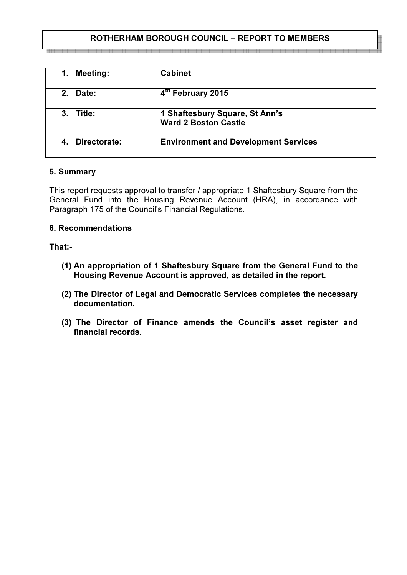# ROTHERHAM BOROUGH COUNCIL – REPORT TO MEMBERS

 $\overline{a}$ 

|             | <b>Meeting:</b> | <b>Cabinet</b>                                                |
|-------------|-----------------|---------------------------------------------------------------|
| $2_{\cdot}$ | Date:           | 4th February 2015                                             |
| 3.          | Title:          | 1 Shaftesbury Square, St Ann's<br><b>Ward 2 Boston Castle</b> |
| 4.          | Directorate:    | <b>Environment and Development Services</b>                   |

### 5. Summary

an an an an an an an an a

This report requests approval to transfer / appropriate 1 Shaftesbury Square from the General Fund into the Housing Revenue Account (HRA), in accordance with Paragraph 175 of the Council's Financial Regulations.

### 6. Recommendations

## That:-

- (1) An appropriation of 1 Shaftesbury Square from the General Fund to the Housing Revenue Account is approved, as detailed in the report.
- (2) The Director of Legal and Democratic Services completes the necessary documentation.
- (3) The Director of Finance amends the Council's asset register and financial records.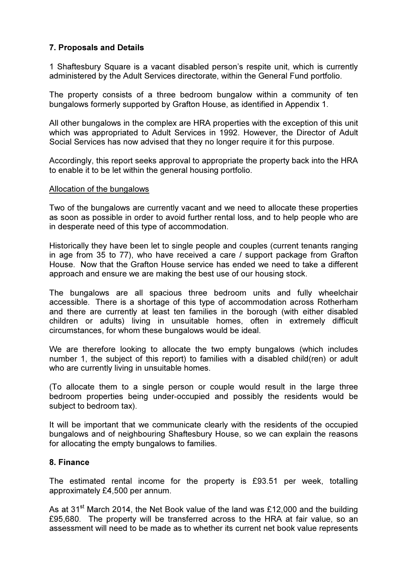# 7. Proposals and Details

1 Shaftesbury Square is a vacant disabled person's respite unit, which is currently administered by the Adult Services directorate, within the General Fund portfolio.

The property consists of a three bedroom bungalow within a community of ten bungalows formerly supported by Grafton House, as identified in Appendix 1.

All other bungalows in the complex are HRA properties with the exception of this unit which was appropriated to Adult Services in 1992. However, the Director of Adult Social Services has now advised that they no longer require it for this purpose.

Accordingly, this report seeks approval to appropriate the property back into the HRA to enable it to be let within the general housing portfolio.

#### Allocation of the bungalows

Two of the bungalows are currently vacant and we need to allocate these properties as soon as possible in order to avoid further rental loss, and to help people who are in desperate need of this type of accommodation.

Historically they have been let to single people and couples (current tenants ranging in age from 35 to 77), who have received a care / support package from Grafton House. Now that the Grafton House service has ended we need to take a different approach and ensure we are making the best use of our housing stock.

The bungalows are all spacious three bedroom units and fully wheelchair accessible. There is a shortage of this type of accommodation across Rotherham and there are currently at least ten families in the borough (with either disabled children or adults) living in unsuitable homes, often in extremely difficult circumstances, for whom these bungalows would be ideal.

We are therefore looking to allocate the two empty bungalows (which includes number 1, the subject of this report) to families with a disabled child(ren) or adult who are currently living in unsuitable homes.

(To allocate them to a single person or couple would result in the large three bedroom properties being under-occupied and possibly the residents would be subject to bedroom tax).

It will be important that we communicate clearly with the residents of the occupied bungalows and of neighbouring Shaftesbury House, so we can explain the reasons for allocating the empty bungalows to families.

#### 8. Finance

The estimated rental income for the property is £93.51 per week, totalling approximately £4,500 per annum.

As at 31<sup>st</sup> March 2014, the Net Book value of the land was £12,000 and the building £95,680. The property will be transferred across to the HRA at fair value, so an assessment will need to be made as to whether its current net book value represents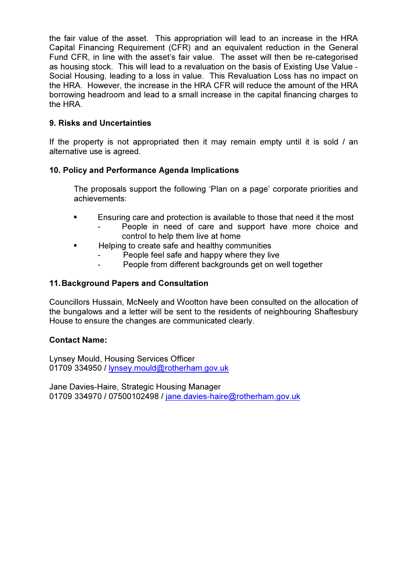the fair value of the asset. This appropriation will lead to an increase in the HRA Capital Financing Requirement (CFR) and an equivalent reduction in the General Fund CFR, in line with the asset's fair value. The asset will then be re-categorised as housing stock. This will lead to a revaluation on the basis of Existing Use Value - Social Housing, leading to a loss in value. This Revaluation Loss has no impact on the HRA. However, the increase in the HRA CFR will reduce the amount of the HRA borrowing headroom and lead to a small increase in the capital financing charges to the HRA.

# 9. Risks and Uncertainties

If the property is not appropriated then it may remain empty until it is sold / an alternative use is agreed.

## 10. Policy and Performance Agenda Implications

The proposals support the following 'Plan on a page' corporate priorities and achievements:

- **Ensuring care and protection is available to those that need it the most** 
	- People in need of care and support have more choice and control to help them live at home
- Helping to create safe and healthy communities
	- People feel safe and happy where they live
	- People from different backgrounds get on well together

## 11. Background Papers and Consultation

Councillors Hussain, McNeely and Wootton have been consulted on the allocation of the bungalows and a letter will be sent to the residents of neighbouring Shaftesbury House to ensure the changes are communicated clearly.

## Contact Name:

Lynsey Mould, Housing Services Officer 01709 334950 / lynsey.mould@rotherham.gov.uk

Jane Davies-Haire, Strategic Housing Manager 01709 334970 / 07500102498 / jane.davies-haire@rotherham.gov.uk